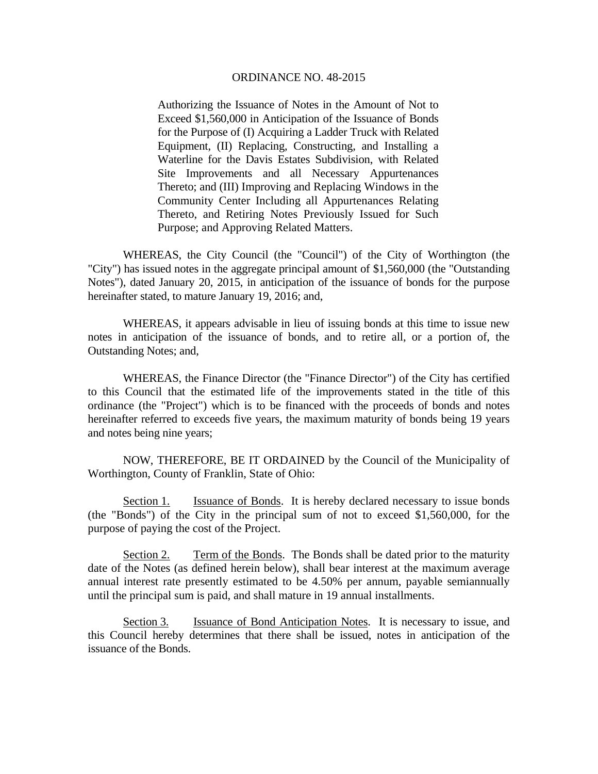Authorizing the Issuance of Notes in the Amount of Not to Exceed \$1,560,000 in Anticipation of the Issuance of Bonds for the Purpose of (I) Acquiring a Ladder Truck with Related Equipment, (II) Replacing, Constructing, and Installing a Waterline for the Davis Estates Subdivision, with Related Site Improvements and all Necessary Appurtenances Thereto; and (III) Improving and Replacing Windows in the Community Center Including all Appurtenances Relating Thereto, and Retiring Notes Previously Issued for Such Purpose; and Approving Related Matters.

 WHEREAS, the City Council (the "Council") of the City of Worthington (the "City") has issued notes in the aggregate principal amount of \$1,560,000 (the "Outstanding Notes"), dated January 20, 2015, in anticipation of the issuance of bonds for the purpose hereinafter stated, to mature January 19, 2016; and,

 WHEREAS, it appears advisable in lieu of issuing bonds at this time to issue new notes in anticipation of the issuance of bonds, and to retire all, or a portion of, the Outstanding Notes; and,

 WHEREAS, the Finance Director (the "Finance Director") of the City has certified to this Council that the estimated life of the improvements stated in the title of this ordinance (the "Project") which is to be financed with the proceeds of bonds and notes hereinafter referred to exceeds five years, the maximum maturity of bonds being 19 years and notes being nine years;

 NOW, THEREFORE, BE IT ORDAINED by the Council of the Municipality of Worthington, County of Franklin, State of Ohio:

Section 1. Issuance of Bonds. It is hereby declared necessary to issue bonds (the "Bonds") of the City in the principal sum of not to exceed \$1,560,000, for the purpose of paying the cost of the Project.

Section 2. Term of the Bonds. The Bonds shall be dated prior to the maturity date of the Notes (as defined herein below), shall bear interest at the maximum average annual interest rate presently estimated to be 4.50% per annum, payable semiannually until the principal sum is paid, and shall mature in 19 annual installments.

Section 3. Issuance of Bond Anticipation Notes. It is necessary to issue, and this Council hereby determines that there shall be issued, notes in anticipation of the issuance of the Bonds.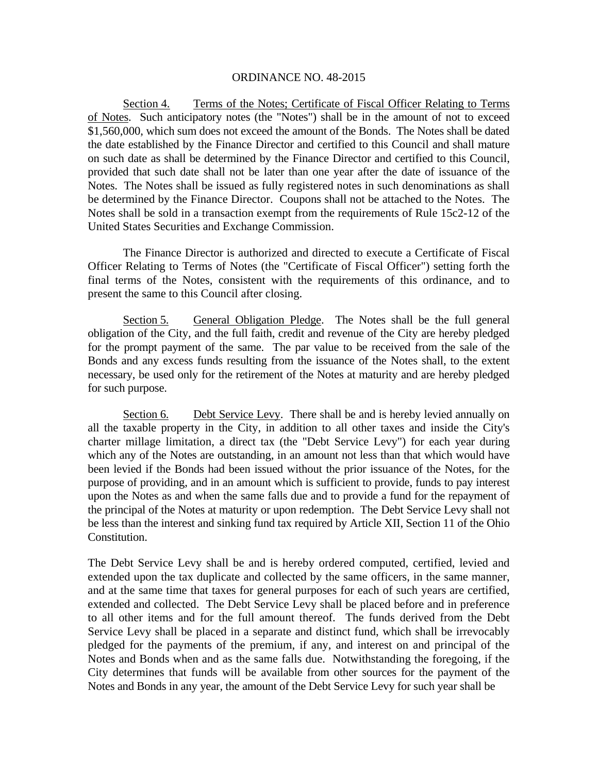Section 4. Terms of the Notes; Certificate of Fiscal Officer Relating to Terms of Notes. Such anticipatory notes (the "Notes") shall be in the amount of not to exceed \$1,560,000, which sum does not exceed the amount of the Bonds. The Notes shall be dated the date established by the Finance Director and certified to this Council and shall mature on such date as shall be determined by the Finance Director and certified to this Council, provided that such date shall not be later than one year after the date of issuance of the Notes. The Notes shall be issued as fully registered notes in such denominations as shall be determined by the Finance Director. Coupons shall not be attached to the Notes. The Notes shall be sold in a transaction exempt from the requirements of Rule 15c2-12 of the United States Securities and Exchange Commission.

 The Finance Director is authorized and directed to execute a Certificate of Fiscal Officer Relating to Terms of Notes (the "Certificate of Fiscal Officer") setting forth the final terms of the Notes, consistent with the requirements of this ordinance, and to present the same to this Council after closing.

Section 5. General Obligation Pledge. The Notes shall be the full general obligation of the City, and the full faith, credit and revenue of the City are hereby pledged for the prompt payment of the same. The par value to be received from the sale of the Bonds and any excess funds resulting from the issuance of the Notes shall, to the extent necessary, be used only for the retirement of the Notes at maturity and are hereby pledged for such purpose.

Section 6. Debt Service Levy. There shall be and is hereby levied annually on all the taxable property in the City, in addition to all other taxes and inside the City's charter millage limitation, a direct tax (the "Debt Service Levy") for each year during which any of the Notes are outstanding, in an amount not less than that which would have been levied if the Bonds had been issued without the prior issuance of the Notes, for the purpose of providing, and in an amount which is sufficient to provide, funds to pay interest upon the Notes as and when the same falls due and to provide a fund for the repayment of the principal of the Notes at maturity or upon redemption. The Debt Service Levy shall not be less than the interest and sinking fund tax required by Article XII, Section 11 of the Ohio Constitution.

The Debt Service Levy shall be and is hereby ordered computed, certified, levied and extended upon the tax duplicate and collected by the same officers, in the same manner, and at the same time that taxes for general purposes for each of such years are certified, extended and collected. The Debt Service Levy shall be placed before and in preference to all other items and for the full amount thereof. The funds derived from the Debt Service Levy shall be placed in a separate and distinct fund, which shall be irrevocably pledged for the payments of the premium, if any, and interest on and principal of the Notes and Bonds when and as the same falls due. Notwithstanding the foregoing, if the City determines that funds will be available from other sources for the payment of the Notes and Bonds in any year, the amount of the Debt Service Levy for such year shall be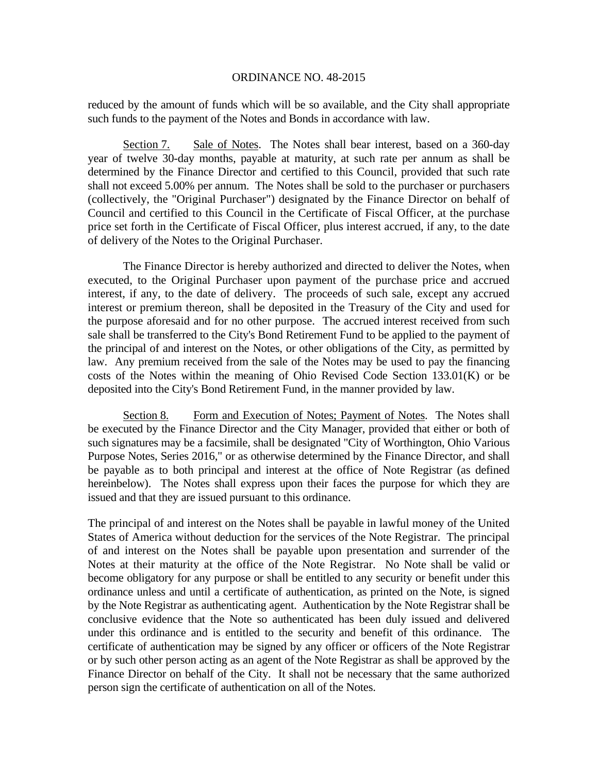reduced by the amount of funds which will be so available, and the City shall appropriate such funds to the payment of the Notes and Bonds in accordance with law.

Section 7. Sale of Notes. The Notes shall bear interest, based on a 360-day year of twelve 30-day months, payable at maturity, at such rate per annum as shall be determined by the Finance Director and certified to this Council, provided that such rate shall not exceed 5.00% per annum. The Notes shall be sold to the purchaser or purchasers (collectively, the "Original Purchaser") designated by the Finance Director on behalf of Council and certified to this Council in the Certificate of Fiscal Officer, at the purchase price set forth in the Certificate of Fiscal Officer, plus interest accrued, if any, to the date of delivery of the Notes to the Original Purchaser.

 The Finance Director is hereby authorized and directed to deliver the Notes, when executed, to the Original Purchaser upon payment of the purchase price and accrued interest, if any, to the date of delivery. The proceeds of such sale, except any accrued interest or premium thereon, shall be deposited in the Treasury of the City and used for the purpose aforesaid and for no other purpose. The accrued interest received from such sale shall be transferred to the City's Bond Retirement Fund to be applied to the payment of the principal of and interest on the Notes, or other obligations of the City, as permitted by law. Any premium received from the sale of the Notes may be used to pay the financing costs of the Notes within the meaning of Ohio Revised Code Section 133.01(K) or be deposited into the City's Bond Retirement Fund, in the manner provided by law.

Section 8. Form and Execution of Notes; Payment of Notes. The Notes shall be executed by the Finance Director and the City Manager, provided that either or both of such signatures may be a facsimile, shall be designated "City of Worthington, Ohio Various Purpose Notes, Series 2016," or as otherwise determined by the Finance Director, and shall be payable as to both principal and interest at the office of Note Registrar (as defined hereinbelow). The Notes shall express upon their faces the purpose for which they are issued and that they are issued pursuant to this ordinance.

The principal of and interest on the Notes shall be payable in lawful money of the United States of America without deduction for the services of the Note Registrar. The principal of and interest on the Notes shall be payable upon presentation and surrender of the Notes at their maturity at the office of the Note Registrar. No Note shall be valid or become obligatory for any purpose or shall be entitled to any security or benefit under this ordinance unless and until a certificate of authentication, as printed on the Note, is signed by the Note Registrar as authenticating agent. Authentication by the Note Registrar shall be conclusive evidence that the Note so authenticated has been duly issued and delivered under this ordinance and is entitled to the security and benefit of this ordinance. The certificate of authentication may be signed by any officer or officers of the Note Registrar or by such other person acting as an agent of the Note Registrar as shall be approved by the Finance Director on behalf of the City. It shall not be necessary that the same authorized person sign the certificate of authentication on all of the Notes.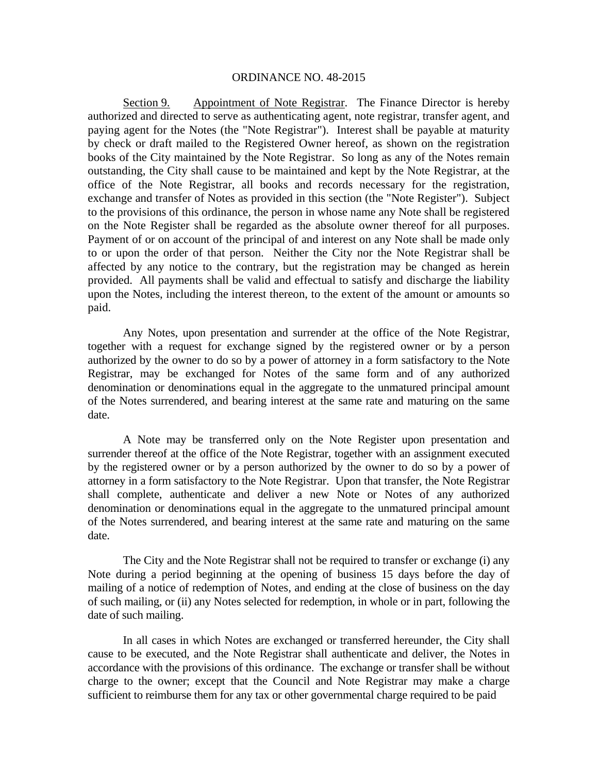Section 9. Appointment of Note Registrar. The Finance Director is hereby authorized and directed to serve as authenticating agent, note registrar, transfer agent, and paying agent for the Notes (the "Note Registrar"). Interest shall be payable at maturity by check or draft mailed to the Registered Owner hereof, as shown on the registration books of the City maintained by the Note Registrar. So long as any of the Notes remain outstanding, the City shall cause to be maintained and kept by the Note Registrar, at the office of the Note Registrar, all books and records necessary for the registration, exchange and transfer of Notes as provided in this section (the "Note Register"). Subject to the provisions of this ordinance, the person in whose name any Note shall be registered on the Note Register shall be regarded as the absolute owner thereof for all purposes. Payment of or on account of the principal of and interest on any Note shall be made only to or upon the order of that person. Neither the City nor the Note Registrar shall be affected by any notice to the contrary, but the registration may be changed as herein provided. All payments shall be valid and effectual to satisfy and discharge the liability upon the Notes, including the interest thereon, to the extent of the amount or amounts so paid.

Any Notes, upon presentation and surrender at the office of the Note Registrar, together with a request for exchange signed by the registered owner or by a person authorized by the owner to do so by a power of attorney in a form satisfactory to the Note Registrar, may be exchanged for Notes of the same form and of any authorized denomination or denominations equal in the aggregate to the unmatured principal amount of the Notes surrendered, and bearing interest at the same rate and maturing on the same date.

A Note may be transferred only on the Note Register upon presentation and surrender thereof at the office of the Note Registrar, together with an assignment executed by the registered owner or by a person authorized by the owner to do so by a power of attorney in a form satisfactory to the Note Registrar. Upon that transfer, the Note Registrar shall complete, authenticate and deliver a new Note or Notes of any authorized denomination or denominations equal in the aggregate to the unmatured principal amount of the Notes surrendered, and bearing interest at the same rate and maturing on the same date.

The City and the Note Registrar shall not be required to transfer or exchange (i) any Note during a period beginning at the opening of business 15 days before the day of mailing of a notice of redemption of Notes, and ending at the close of business on the day of such mailing, or (ii) any Notes selected for redemption, in whole or in part, following the date of such mailing.

In all cases in which Notes are exchanged or transferred hereunder, the City shall cause to be executed, and the Note Registrar shall authenticate and deliver, the Notes in accordance with the provisions of this ordinance. The exchange or transfer shall be without charge to the owner; except that the Council and Note Registrar may make a charge sufficient to reimburse them for any tax or other governmental charge required to be paid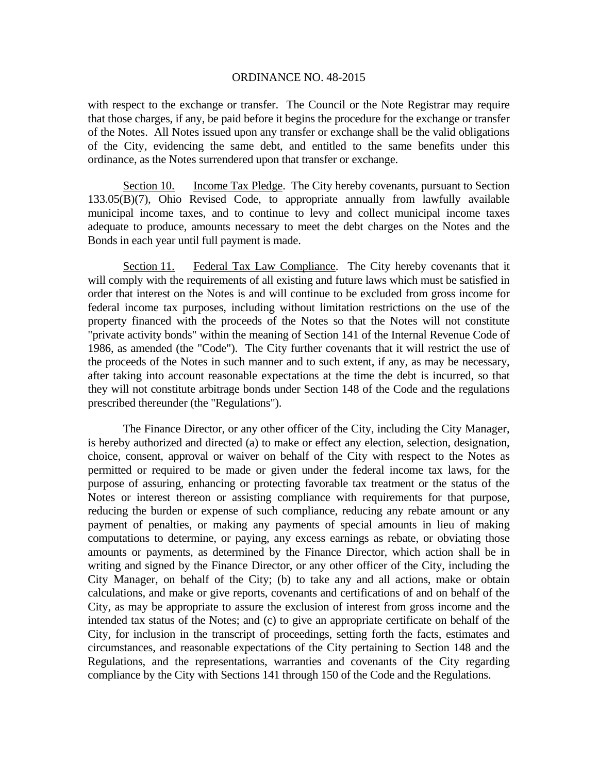with respect to the exchange or transfer. The Council or the Note Registrar may require that those charges, if any, be paid before it begins the procedure for the exchange or transfer of the Notes. All Notes issued upon any transfer or exchange shall be the valid obligations of the City, evidencing the same debt, and entitled to the same benefits under this ordinance, as the Notes surrendered upon that transfer or exchange.

Section 10. Income Tax Pledge. The City hereby covenants, pursuant to Section 133.05(B)(7), Ohio Revised Code, to appropriate annually from lawfully available municipal income taxes, and to continue to levy and collect municipal income taxes adequate to produce, amounts necessary to meet the debt charges on the Notes and the Bonds in each year until full payment is made.

Section 11. Federal Tax Law Compliance. The City hereby covenants that it will comply with the requirements of all existing and future laws which must be satisfied in order that interest on the Notes is and will continue to be excluded from gross income for federal income tax purposes, including without limitation restrictions on the use of the property financed with the proceeds of the Notes so that the Notes will not constitute "private activity bonds" within the meaning of Section 141 of the Internal Revenue Code of 1986, as amended (the "Code"). The City further covenants that it will restrict the use of the proceeds of the Notes in such manner and to such extent, if any, as may be necessary, after taking into account reasonable expectations at the time the debt is incurred, so that they will not constitute arbitrage bonds under Section 148 of the Code and the regulations prescribed thereunder (the "Regulations").

 The Finance Director, or any other officer of the City, including the City Manager, is hereby authorized and directed (a) to make or effect any election, selection, designation, choice, consent, approval or waiver on behalf of the City with respect to the Notes as permitted or required to be made or given under the federal income tax laws, for the purpose of assuring, enhancing or protecting favorable tax treatment or the status of the Notes or interest thereon or assisting compliance with requirements for that purpose, reducing the burden or expense of such compliance, reducing any rebate amount or any payment of penalties, or making any payments of special amounts in lieu of making computations to determine, or paying, any excess earnings as rebate, or obviating those amounts or payments, as determined by the Finance Director, which action shall be in writing and signed by the Finance Director, or any other officer of the City, including the City Manager, on behalf of the City; (b) to take any and all actions, make or obtain calculations, and make or give reports, covenants and certifications of and on behalf of the City, as may be appropriate to assure the exclusion of interest from gross income and the intended tax status of the Notes; and (c) to give an appropriate certificate on behalf of the City, for inclusion in the transcript of proceedings, setting forth the facts, estimates and circumstances, and reasonable expectations of the City pertaining to Section 148 and the Regulations, and the representations, warranties and covenants of the City regarding compliance by the City with Sections 141 through 150 of the Code and the Regulations.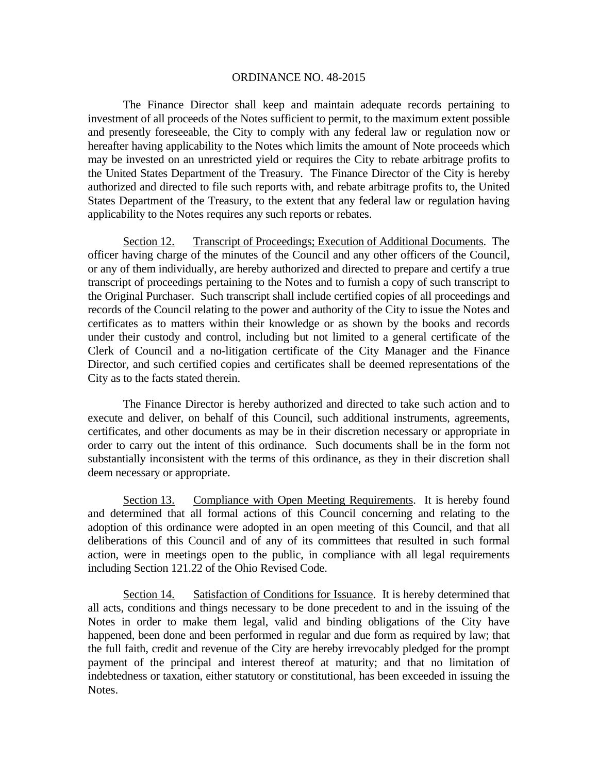The Finance Director shall keep and maintain adequate records pertaining to investment of all proceeds of the Notes sufficient to permit, to the maximum extent possible and presently foreseeable, the City to comply with any federal law or regulation now or hereafter having applicability to the Notes which limits the amount of Note proceeds which may be invested on an unrestricted yield or requires the City to rebate arbitrage profits to the United States Department of the Treasury. The Finance Director of the City is hereby authorized and directed to file such reports with, and rebate arbitrage profits to, the United States Department of the Treasury, to the extent that any federal law or regulation having applicability to the Notes requires any such reports or rebates.

Section 12. Transcript of Proceedings; Execution of Additional Documents. The officer having charge of the minutes of the Council and any other officers of the Council, or any of them individually, are hereby authorized and directed to prepare and certify a true transcript of proceedings pertaining to the Notes and to furnish a copy of such transcript to the Original Purchaser. Such transcript shall include certified copies of all proceedings and records of the Council relating to the power and authority of the City to issue the Notes and certificates as to matters within their knowledge or as shown by the books and records under their custody and control, including but not limited to a general certificate of the Clerk of Council and a no-litigation certificate of the City Manager and the Finance Director, and such certified copies and certificates shall be deemed representations of the City as to the facts stated therein.

 The Finance Director is hereby authorized and directed to take such action and to execute and deliver, on behalf of this Council, such additional instruments, agreements, certificates, and other documents as may be in their discretion necessary or appropriate in order to carry out the intent of this ordinance. Such documents shall be in the form not substantially inconsistent with the terms of this ordinance, as they in their discretion shall deem necessary or appropriate.

Section 13. Compliance with Open Meeting Requirements. It is hereby found and determined that all formal actions of this Council concerning and relating to the adoption of this ordinance were adopted in an open meeting of this Council, and that all deliberations of this Council and of any of its committees that resulted in such formal action, were in meetings open to the public, in compliance with all legal requirements including Section 121.22 of the Ohio Revised Code.

Section 14. Satisfaction of Conditions for Issuance. It is hereby determined that all acts, conditions and things necessary to be done precedent to and in the issuing of the Notes in order to make them legal, valid and binding obligations of the City have happened, been done and been performed in regular and due form as required by law; that the full faith, credit and revenue of the City are hereby irrevocably pledged for the prompt payment of the principal and interest thereof at maturity; and that no limitation of indebtedness or taxation, either statutory or constitutional, has been exceeded in issuing the Notes.